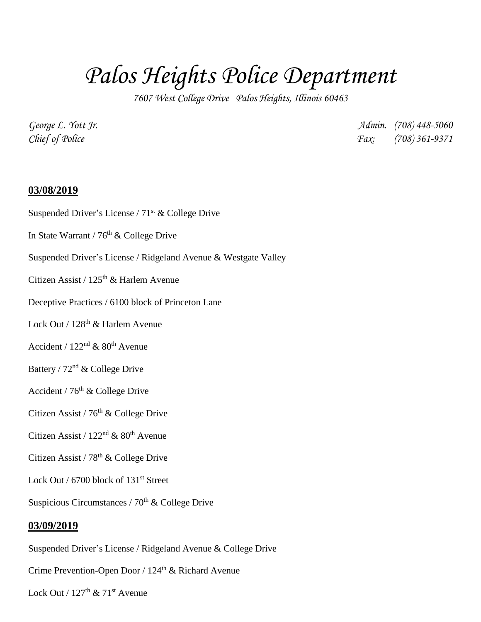## *Palos Heights Police Department*

*7607 West College Drive Palos Heights, Illinois 60463*

*George L. Yott Jr. Admin. (708) 448-5060 Chief of Police Fax: (708) 361-9371*

## **03/08/2019**

- Suspended Driver's License /  $71<sup>st</sup>$  & College Drive
- In State Warrant /  $76<sup>th</sup>$  & College Drive
- Suspended Driver's License / Ridgeland Avenue & Westgate Valley
- Citizen Assist /  $125<sup>th</sup>$  & Harlem Avenue
- Deceptive Practices / 6100 block of Princeton Lane
- Lock Out / 128<sup>th</sup> & Harlem Avenue
- Accident /  $122<sup>nd</sup>$  &  $80<sup>th</sup>$  Avenue
- Battery / 72nd & College Drive
- Accident /  $76<sup>th</sup>$  & College Drive
- Citizen Assist / 76<sup>th</sup> & College Drive
- Citizen Assist /  $122<sup>nd</sup>$  &  $80<sup>th</sup>$  Avenue
- Citizen Assist / 78<sup>th</sup> & College Drive
- Lock Out / 6700 block of 131<sup>st</sup> Street
- Suspicious Circumstances /  $70<sup>th</sup>$  & College Drive

## **03/09/2019**

Suspended Driver's License / Ridgeland Avenue & College Drive

Crime Prevention-Open Door / 124th & Richard Avenue

Lock Out /  $127<sup>th</sup>$  &  $71<sup>st</sup>$  Avenue